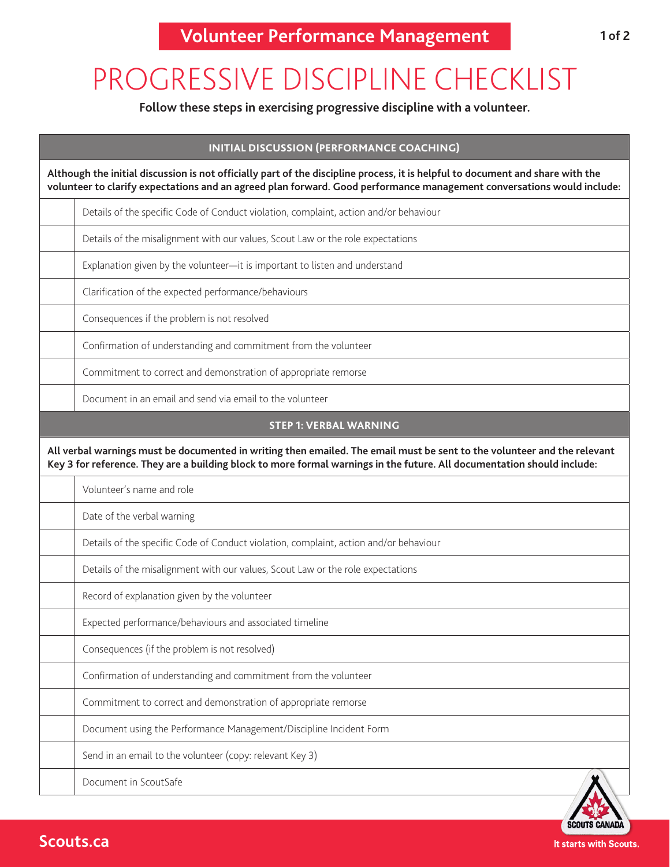## PROGRESSIVE DISCIPLINE CHECKLIST

**Follow these steps in exercising progressive discipline with a volunteer.**

| <b>INITIAL DISCUSSION (PERFORMANCE COACHING)</b>                                                                                                                                                                                                         |  |  |
|----------------------------------------------------------------------------------------------------------------------------------------------------------------------------------------------------------------------------------------------------------|--|--|
| Although the initial discussion is not officially part of the discipline process, it is helpful to document and share with the<br>volunteer to clarify expectations and an agreed plan forward. Good performance management conversations would include: |  |  |
| Details of the specific Code of Conduct violation, complaint, action and/or behaviour                                                                                                                                                                    |  |  |
| Details of the misalignment with our values, Scout Law or the role expectations                                                                                                                                                                          |  |  |
| Explanation given by the volunteer-it is important to listen and understand                                                                                                                                                                              |  |  |
| Clarification of the expected performance/behaviours                                                                                                                                                                                                     |  |  |
| Consequences if the problem is not resolved                                                                                                                                                                                                              |  |  |
| Confirmation of understanding and commitment from the volunteer                                                                                                                                                                                          |  |  |
| Commitment to correct and demonstration of appropriate remorse                                                                                                                                                                                           |  |  |
| Document in an email and send via email to the volunteer                                                                                                                                                                                                 |  |  |
| <b>STEP 1: VERBAL WARNING</b>                                                                                                                                                                                                                            |  |  |
| All verbal warnings must be documented in writing then emailed. The email must be sent to the volunteer and the relevant<br>Key 3 for reference. They are a building block to more formal warnings in the future. All documentation should include:      |  |  |
| Volunteer's name and role                                                                                                                                                                                                                                |  |  |
| Date of the verbal warning                                                                                                                                                                                                                               |  |  |
| Details of the specific Code of Conduct violation, complaint, action and/or behaviour                                                                                                                                                                    |  |  |
| Details of the misalignment with our values, Scout Law or the role expectations                                                                                                                                                                          |  |  |
| Record of explanation given by the volunteer                                                                                                                                                                                                             |  |  |
| Expected performance/behaviours and associated timeline                                                                                                                                                                                                  |  |  |
| Consequences (if the problem is not resolved)                                                                                                                                                                                                            |  |  |
| Confirmation of understanding and commitment from the volunteer                                                                                                                                                                                          |  |  |
| Commitment to correct and demonstration of appropriate remorse                                                                                                                                                                                           |  |  |
| Document using the Performance Management/Discipline Incident Form                                                                                                                                                                                       |  |  |
| Send in an email to the volunteer (copy: relevant Key 3)                                                                                                                                                                                                 |  |  |
| Document in ScoutSafe                                                                                                                                                                                                                                    |  |  |

**SCOUTS CANADA** It starts with Scouts.